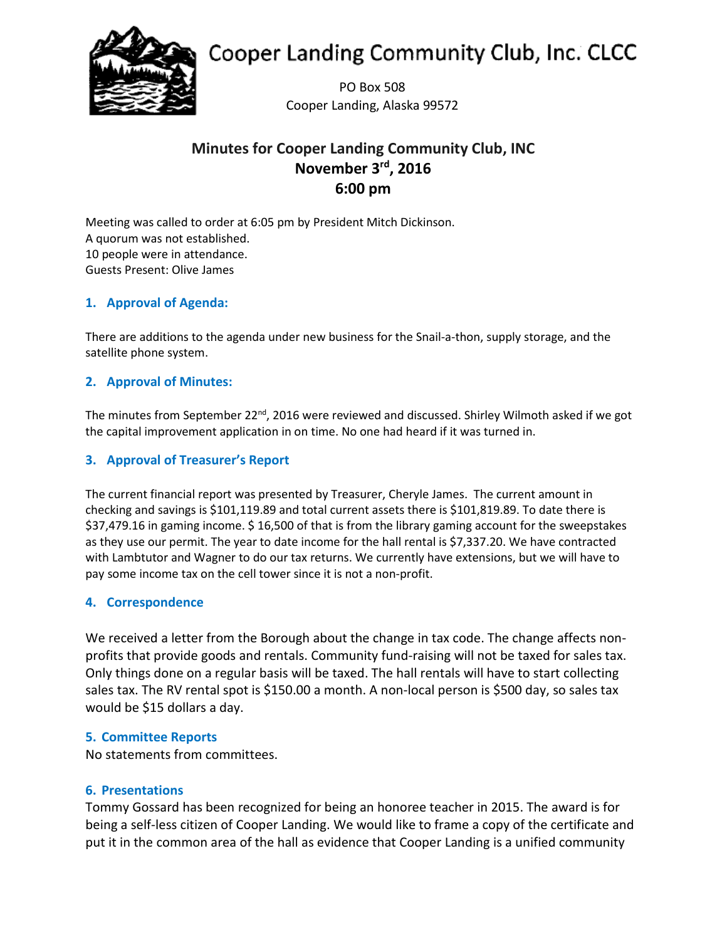

# **Cooper Landing Community Club, Inc. CLCC**

PO Box 508 Cooper Landing, Alaska 99572

# **Minutes for Cooper Landing Community Club, INC November 3rd, 2016 6:00 pm**

Meeting was called to order at 6:05 pm by President Mitch Dickinson. A quorum was not established. 10 people were in attendance. Guests Present: Olive James

# **1. Approval of Agenda:**

There are additions to the agenda under new business for the Snail-a-thon, supply storage, and the satellite phone system.

# **2. Approval of Minutes:**

The minutes from September 22<sup>nd</sup>, 2016 were reviewed and discussed. Shirley Wilmoth asked if we got the capital improvement application in on time. No one had heard if it was turned in.

## **3. Approval of Treasurer's Report**

The current financial report was presented by Treasurer, Cheryle James. The current amount in checking and savings is \$101,119.89 and total current assets there is \$101,819.89. To date there is \$37,479.16 in gaming income. \$ 16,500 of that is from the library gaming account for the sweepstakes as they use our permit. The year to date income for the hall rental is \$7,337.20. We have contracted with Lambtutor and Wagner to do our tax returns. We currently have extensions, but we will have to pay some income tax on the cell tower since it is not a non-profit.

## **4. Correspondence**

We received a letter from the Borough about the change in tax code. The change affects nonprofits that provide goods and rentals. Community fund-raising will not be taxed for sales tax. Only things done on a regular basis will be taxed. The hall rentals will have to start collecting sales tax. The RV rental spot is \$150.00 a month. A non-local person is \$500 day, so sales tax would be \$15 dollars a day.

## **5. Committee Reports**

No statements from committees.

## **6. Presentations**

Tommy Gossard has been recognized for being an honoree teacher in 2015. The award is for being a self-less citizen of Cooper Landing. We would like to frame a copy of the certificate and put it in the common area of the hall as evidence that Cooper Landing is a unified community